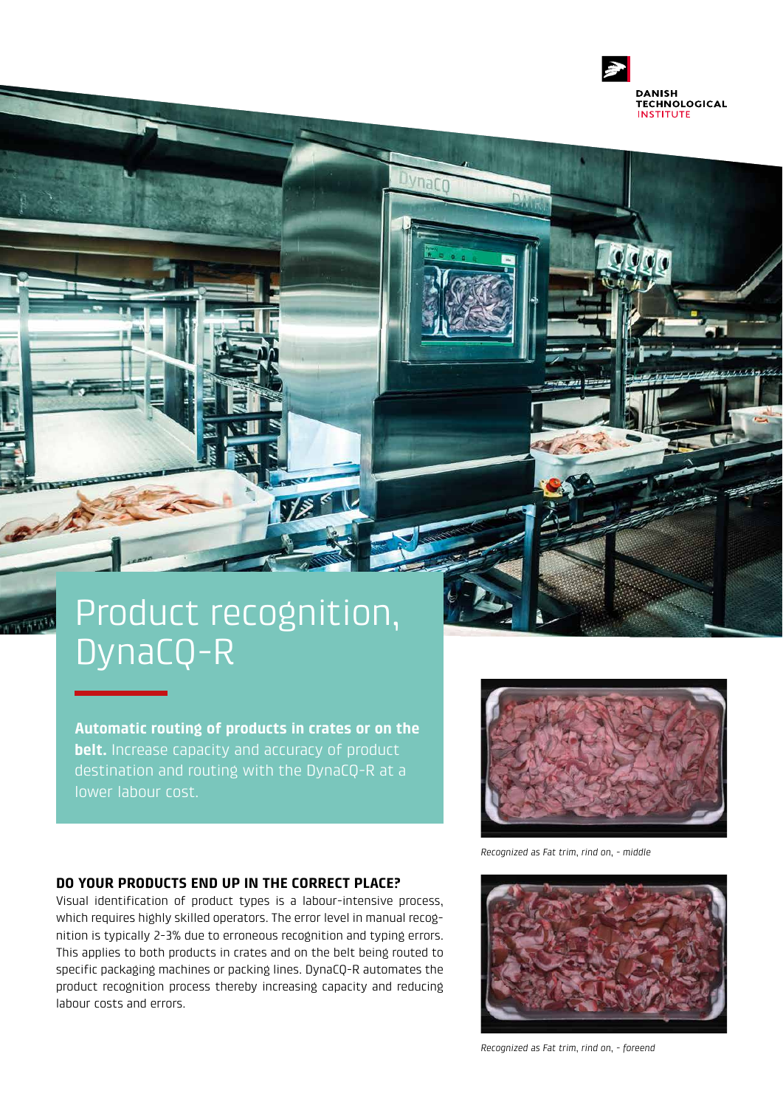

narr

# Product recognition, DynaCQ-R

VE

**Automatic routing of products in crates or on the belt.** Increase capacity and accuracy of product destination and routing with the DynaCQ-R at a lower labour cost.



*Recognized as Fat trim, rind on, - middle*

### **DO YOUR PRODUCTS END UP IN THE CORRECT PLACE?**

Visual identification of product types is a labour-intensive process, which requires highly skilled operators. The error level in manual recognition is typically 2-3% due to erroneous recognition and typing errors. This applies to both products in crates and on the belt being routed to specific packaging machines or packing lines. DynaCQ-R automates the product recognition process thereby increasing capacity and reducing labour costs and errors.



*Recognized as Fat trim, rind on, - foreend*